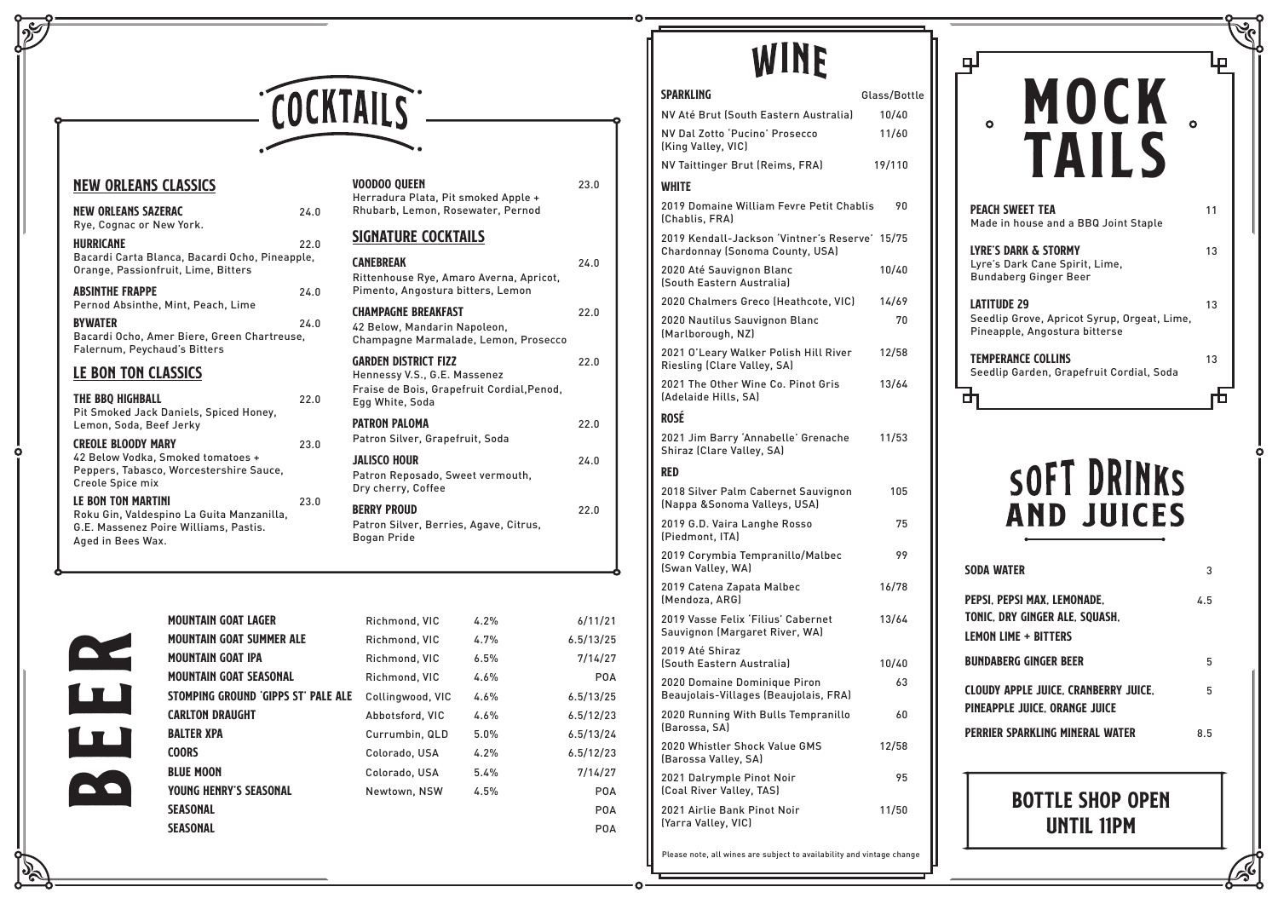

### New Orleans Classics

 $\sqrt{2}$ 

 $\Omega$ 

| <b>NEW ORLEANS SAZERAC</b><br>Rye, Cognac or New York.                                                  | 24.0 | Rhubarb, Ler                                                |
|---------------------------------------------------------------------------------------------------------|------|-------------------------------------------------------------|
| <b>HURRICANE</b>                                                                                        | 22.0 | <b>SIGNATURE</b>                                            |
| Bacardi Carta Blanca, Bacardi Ocho, Pineapple,<br>Orange, Passionfruit, Lime, Bitters                   |      | <b>CANEBREAK</b><br>Rittenhouse I                           |
| <b>ABSINTHE FRAPPE</b>                                                                                  | 24.0 | Pimento, Ang                                                |
| Pernod Absinthe, Mint, Peach, Lime<br><b>BYWATER</b>                                                    | 24.0 | <b>CHAMPAGNE BI</b>                                         |
| Bacardi Ocho, Amer Biere, Green Chartreuse,<br>Falernum, Peychaud's Bitters                             |      | 42 Below, Ma<br>Champagne N                                 |
| <b>LE BON TON CLASSICS</b>                                                                              |      | <b>GARDEN DISTR</b><br><b>Hennessy V.S</b>                  |
| THE BBQ HIGHBALL<br>Pit Smoked Jack Daniels, Spiced Honey,                                              | 22.0 | Fraise de Boi<br>Egg White, So                              |
| Lemon, Soda, Beef Jerky                                                                                 |      | <b>PATRON PALON</b>                                         |
| <b>CREOLE BLOODY MARY</b>                                                                               | 23.0 | <b>Patron Silver</b>                                        |
| 42 Below Vodka, Smoked tomatoes +<br>Peppers, Tabasco, Worcestershire Sauce,<br>Creole Spice mix        |      | <b>JALISCO HOUR</b><br><b>Patron Repos</b><br>Dry cherry, C |
| <b>LE BON TON MARTINI</b>                                                                               | 23.0 | <b>BERRY PROUD</b>                                          |
| Roku Gin, Valdespino La Guita Manzanilla,<br>G.E. Massenez Poire Williams, Pastis.<br>Aged in Bees Wax. |      | <b>Patron Silver</b><br>Bogan Pride                         |
|                                                                                                         |      |                                                             |

| <b>VOODOO QUEEN</b><br>Herradura Plata, Pit smoked Apple +<br>Rhubarb, Lemon, Rosewater, Pernod | 23.0 |
|-------------------------------------------------------------------------------------------------|------|
| <b>SIGNATURE COCKTAILS</b>                                                                      |      |
| <b>CANEBREAK</b>                                                                                | 24 በ |
| Rittenhouse Rye, Amaro Averna, Apricot,<br>Pimento, Angostura bitters, Lemon                    |      |

| Pilliento, Angostura bitters, Lemon                                                                                          |      |
|------------------------------------------------------------------------------------------------------------------------------|------|
| <b>CHAMPAGNE BREAKFAST</b><br>42 Below, Mandarin Napoleon,<br>Champagne Marmalade, Lemon, Prosecco                           | 22.0 |
| <b>GARDEN DISTRICT FIZZ</b><br>Hennessy V.S., G.E. Massenez<br>Fraise de Bois, Grapefruit Cordial, Penod,<br>Egg White, Soda | 22.0 |
| <b>PATRON PALOMA</b><br>Patron Silver, Grapefruit, Soda                                                                      | 22.0 |
| <b>JALISCO HOUR</b><br>Patron Reposado, Sweet vermouth,<br>Dry cherry, Coffee                                                | 24.0 |
| <b>BERRY PROUD</b><br>Patron Silver, Berries, Agave, Citrus,                                                                 | 22.0 |

| <b>MOUNTAIN GOAT LAGER</b>          | Richmond, VIC    | 4.2% | 6/11/21    |
|-------------------------------------|------------------|------|------------|
| <b>MOUNTAIN GOAT SUMMER ALE</b>     | Richmond, VIC    | 4.7% | 6.5/13/25  |
| <b>MOUNTAIN GOAT IPA</b>            | Richmond, VIC    | 6.5% | 7/14/27    |
| <b>MOUNTAIN GOAT SEASONAL</b>       | Richmond, VIC    | 4.6% | <b>POA</b> |
| STOMPING GROUND 'GIPPS ST' PALE ALE | Collingwood, VIC | 4.6% | 6.5/13/25  |
| <b>CARLTON DRAUGHT</b>              | Abbotsford, VIC  | 4.6% | 6.5/12/23  |
| <b>BALTER XPA</b>                   | Currumbin, QLD   | 5.0% | 6.5/13/24  |
| <b>COORS</b>                        | Colorado, USA    | 4.2% | 6.5/12/23  |
| <b>BLUE MOON</b>                    | Colorado, USA    | 5.4% | 7/14/27    |
| <b>YOUNG HENRY'S SEASONAL</b>       | Newtown, NSW     | 4.5% | <b>POA</b> |
| <b>SEASONAL</b>                     |                  |      | <b>POA</b> |
| <b>SEASONAL</b>                     |                  |      | <b>POA</b> |

# WINE

| SODA WATER                                                                            | 3   |
|---------------------------------------------------------------------------------------|-----|
| PEPSI, PEPSI MAX, LEMONADE.<br>TONIC, DRY GINGER ALE, SQUASH,<br>LEMON LIME + BITTERS | 45  |
| BUNDABERG GINGER BEER                                                                 | 5   |
| <b>CLOUDY APPLE JUICE, CRANBERRY JUICE,</b><br>PINEAPPLE JUICE, ORANGE JUICE          | 5   |
| PERRIER SPARKLING MINERAL WATER                                                       | 8.5 |

| MOCK<br>Ο                                                                                          |    |
|----------------------------------------------------------------------------------------------------|----|
| <b>TAILS</b><br><b>PEACH SWEET TEA</b><br>Made in house and a BBQ Joint Staple                     | 11 |
| <b>LYRE'S DARK &amp; STORMY</b><br>Lyre's Dark Cane Spirit, Lime,<br><b>Bundaberg Ginger Beer</b>  | 13 |
| <b>LATITUDE 29</b><br>Seedlip Grove, Apricot Syrup, Orgeat, Lime,<br>Pineapple, Angostura bitterse | 13 |
| <b>TEMPERANCE COLLINS</b><br>Seedlip Garden, Grapefruit Cordial, Soda                              | 13 |
|                                                                                                    |    |

## SOFT DRINKS AND JUICES

## Bottle shop open until 11pm

Z

Please note, all wines are subject to availability and vintage change

| <b>SPARKLING</b>                                                                  | Glass/Bottle |
|-----------------------------------------------------------------------------------|--------------|
| NV Até Brut (South Eastern Australia)                                             | 10/40        |
| NV Dal Zotto 'Pucino' Prosecco<br>(King Valley, VIC)                              | 11/60        |
| NV Taittinger Brut (Reims, FRA)                                                   | 19/110       |
| <b>WHITE</b>                                                                      |              |
| 2019 Domaine William Fevre Petit Chablis<br>(Chablis, FRA)                        | 90           |
| 2019 Kendall-Jackson 'Vintner's Reserve' 15/75<br>Chardonnay (Sonoma County, USA) |              |
| 2020 Até Sauvignon Blanc<br>(South Eastern Australia)                             | 10/40        |
| 2020 Chalmers Greco (Heathcote, VIC)                                              | 14/69        |
| 2020 Nautilus Sauvignon Blanc<br>(Marlborough, NZ)                                | 70           |
| 2021 O'Leary Walker Polish Hill River<br>Riesling (Clare Valley, SA)              | 12/58        |
| 2021 The Other Wine Co. Pinot Gris<br>(Adelaide Hills, SA)                        | 13/64        |
| <b>ROSÉ</b>                                                                       |              |
| 2021 Jim Barry 'Annabelle' Grenache<br>Shiraz (Clare Valley, SA)                  | 11/53        |
| <b>RED</b>                                                                        |              |
| 2018 Silver Palm Cabernet Sauvignon<br>(Nappa & Sonoma Valleys, USA)              | 105          |
| 2019 G.D. Vaira Langhe Rosso<br>(Piedmont, ITA)                                   | 75           |
| 2019 Corymbia Tempranillo/Malbec<br>(Swan Valley, WA)                             | 99           |
| 2019 Catena Zapata Malbec<br>(Mendoza, ARG)                                       | 16/78        |
| 2019 Vasse Felix 'Filius' Cabernet<br>Sauvignon (Margaret River, WA)              | 13/64        |
| 2019 Até Shiraz<br>(South Eastern Australia)                                      | 10/40        |
| 2020 Domaine Dominique Piron<br>Beaujolais-Villages (Beaujolais, FRA)             | 63           |
| 2020 Running With Bulls Tempranillo<br>(Barossa, SA)                              | 60           |
| 2020 Whistler Shock Value GMS<br>(Barossa Valley, SA)                             | 12/58        |
| 2021 Dalrymple Pinot Noir<br>(Coal River Valley, TAS)                             | 95           |
| 2021 Airlie Bank Pinot Noir<br>(Yarra Valley, VIC)                                | 11/50        |
|                                                                                   |              |